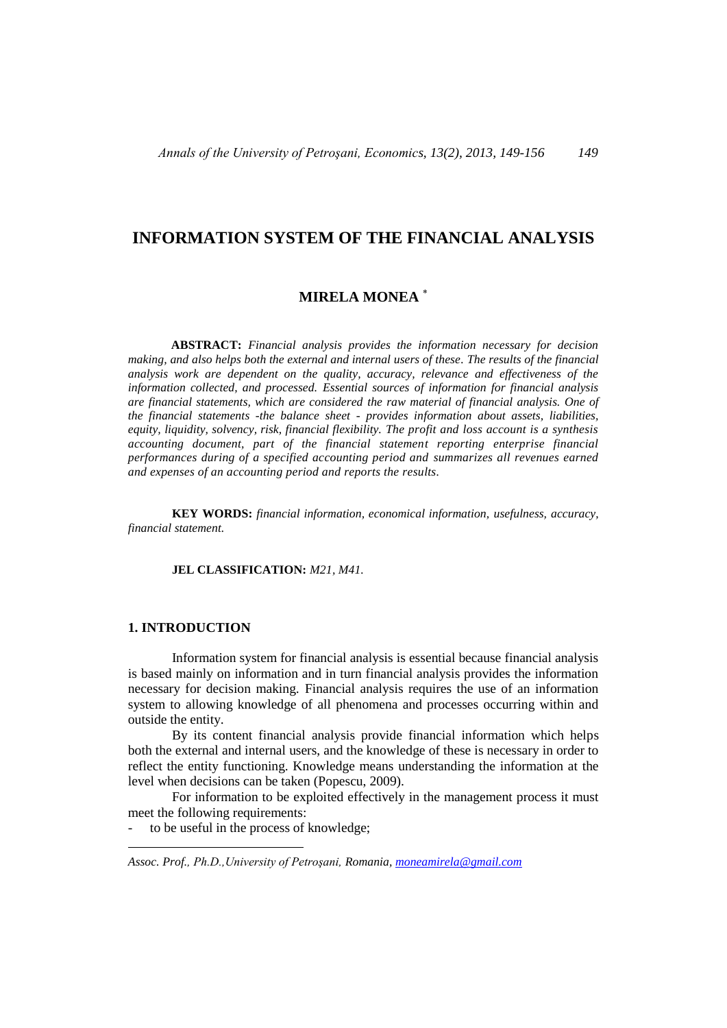# **INFORMATION SYSTEM OF THE FINANCIAL ANALYSIS**

# **MIRELA MONEA**

**ABSTRACT:** *Financial analysis provides the information necessary for decision making, and also helps both the external and internal users of these. The results of the financial analysis work are dependent on the quality, accuracy, relevance and effectiveness of the information collected, and processed. Essential sources of information for financial analysis are financial statements, which are considered the raw material of financial analysis. One of the financial statements -the balance sheet - provides information about assets, liabilities, equity, liquidity, solvency, risk, financial flexibility. The profit and loss account is a synthesis accounting document, part of the financial statement reporting enterprise financial performances during of a specified accounting period and summarizes all revenues earned and expenses of an accounting period and reports the results.* 

**KEY WORDS:** *financial information, economical information, usefulness, accuracy, financial statement.*

**JEL CLASSIFICATION:** *M21, M41.*

#### **1. INTRODUCTION**

 $\overline{a}$ 

Information system for financial analysis is essential because financial analysis is based mainly on information and in turn financial analysis provides the information necessary for decision making. Financial analysis requires the use of an information system to allowing knowledge of all phenomena and processes occurring within and outside the entity.

By its content financial analysis provide financial information which helps both the external and internal users, and the knowledge of these is necessary in order to reflect the entity functioning. Knowledge means understanding the information at the level when decisions can be taken (Popescu, 2009).

For information to be exploited effectively in the management process it must meet the following requirements:

to be useful in the process of knowledge;

*Assoc. Prof., Ph.D.,University of Petroşani, Romania, [moneamirela@gmail.com](mailto:moneamirela@gmail.com)*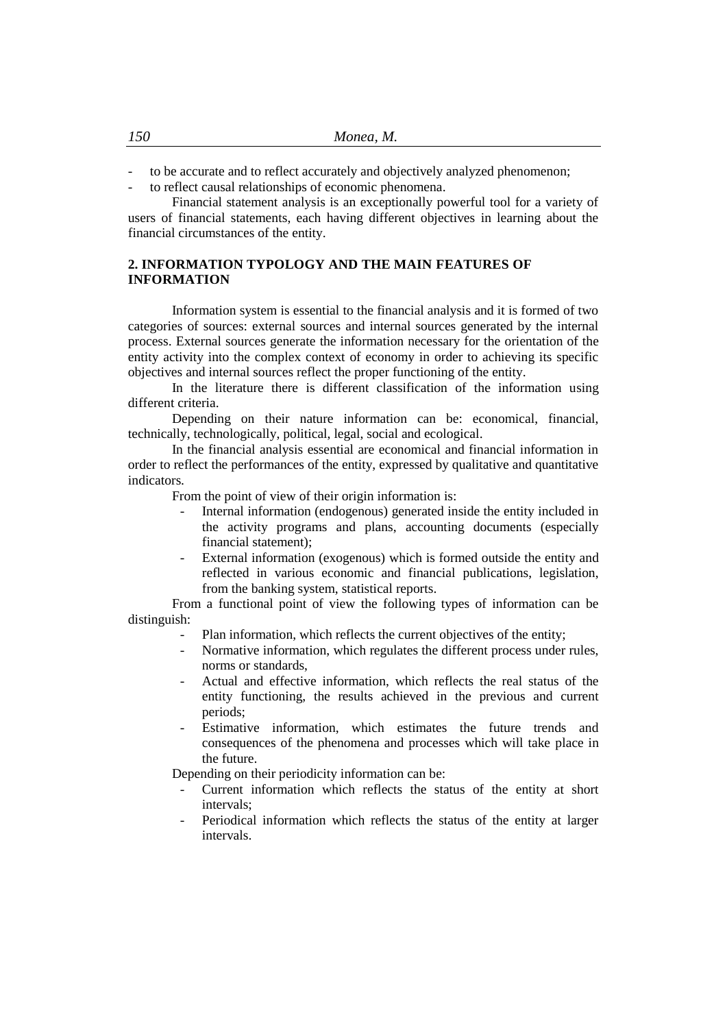- to be accurate and to reflect accurately and objectively analyzed phenomenon;
- to reflect causal relationships of economic phenomena.

Financial statement analysis is an exceptionally powerful tool for a variety of users of financial statements, each having different objectives in learning about the financial circumstances of the entity.

# **2. INFORMATION TYPOLOGY AND THE MAIN FEATURES OF INFORMATION**

Information system is essential to the financial analysis and it is formed of two categories of sources: external sources and internal sources generated by the internal process. External sources generate the information necessary for the orientation of the entity activity into the complex context of economy in order to achieving its specific objectives and internal sources reflect the proper functioning of the entity.

In the literature there is different classification of the information using different criteria.

Depending on their nature information can be: economical, financial, technically, technologically, political, legal, social and ecological.

In the financial analysis essential are economical and financial information in order to reflect the performances of the entity, expressed by qualitative and quantitative indicators.

From the point of view of their origin information is:

- Internal information (endogenous) generated inside the entity included in the activity programs and plans, accounting documents (especially financial statement);
- External information (exogenous) which is formed outside the entity and reflected in various economic and financial publications, legislation, from the banking system, statistical reports.

From a functional point of view the following types of information can be distinguish:

- Plan information, which reflects the current objectives of the entity;
- Normative information, which regulates the different process under rules, norms or standards,
- Actual and effective information, which reflects the real status of the entity functioning, the results achieved in the previous and current periods;
- Estimative information, which estimates the future trends and consequences of the phenomena and processes which will take place in the future.

Depending on their periodicity information can be:

- Current information which reflects the status of the entity at short intervals;
- Periodical information which reflects the status of the entity at larger intervals.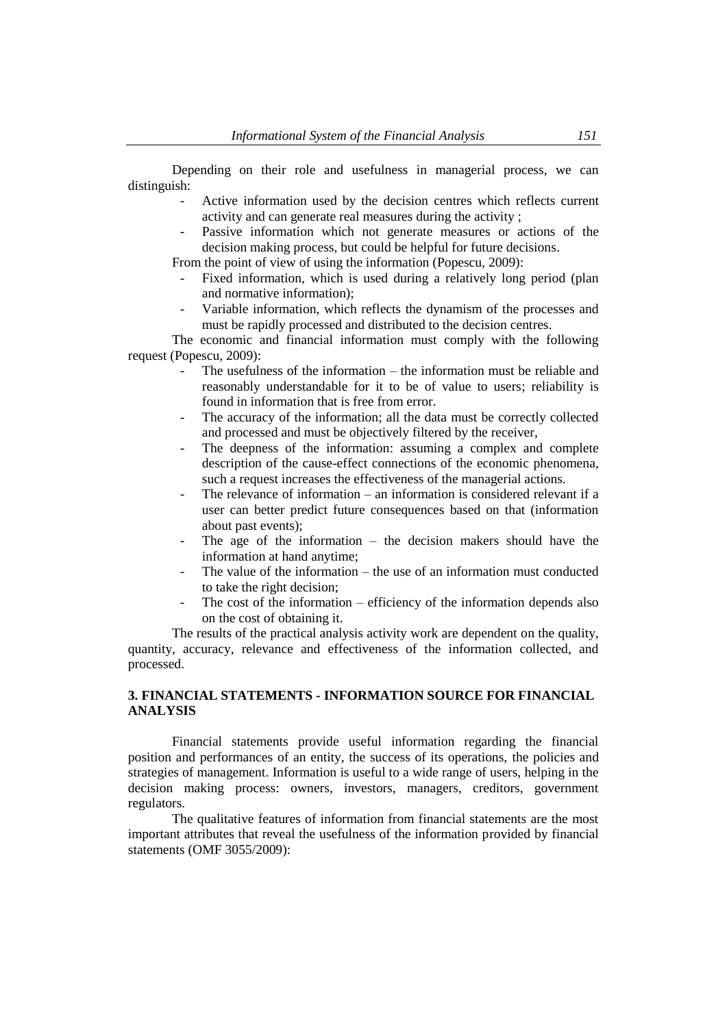Depending on their role and usefulness in managerial process, we can distinguish:

- Active information used by the decision centres which reflects current activity and can generate real measures during the activity ;
- Passive information which not generate measures or actions of the decision making process, but could be helpful for future decisions.

From the point of view of using the information (Popescu, 2009):

- Fixed information, which is used during a relatively long period (plan and normative information);
- Variable information, which reflects the dynamism of the processes and must be rapidly processed and distributed to the decision centres.

The economic and financial information must comply with the following request (Popescu, 2009):

- The usefulness of the information the information must be reliable and reasonably understandable for it to be of value to users; reliability is found in information that is free from error.
- The accuracy of the information; all the data must be correctly collected and processed and must be objectively filtered by the receiver,
- The deepness of the information: assuming a complex and complete description of the cause-effect connections of the economic phenomena, such a request increases the effectiveness of the managerial actions.
- The relevance of information an information is considered relevant if a user can better predict future consequences based on that (information about past events);
- The age of the information  $-$  the decision makers should have the information at hand anytime;
- The value of the information the use of an information must conducted to take the right decision;
- The cost of the information efficiency of the information depends also on the cost of obtaining it.

The results of the practical analysis activity work are dependent on the quality, quantity, accuracy, relevance and effectiveness of the information collected, and processed.

### **3. FINANCIAL STATEMENTS - INFORMATION SOURCE FOR FINANCIAL ANALYSIS**

Financial statements provide useful information regarding the financial position and performances of an entity, the success of its operations, the policies and strategies of management. Information is useful to a wide range of users, helping in the decision making process: owners, investors, managers, creditors, government regulators.

The qualitative features of information from financial statements are the most important attributes that reveal the usefulness of the information provided by financial statements (OMF 3055/2009):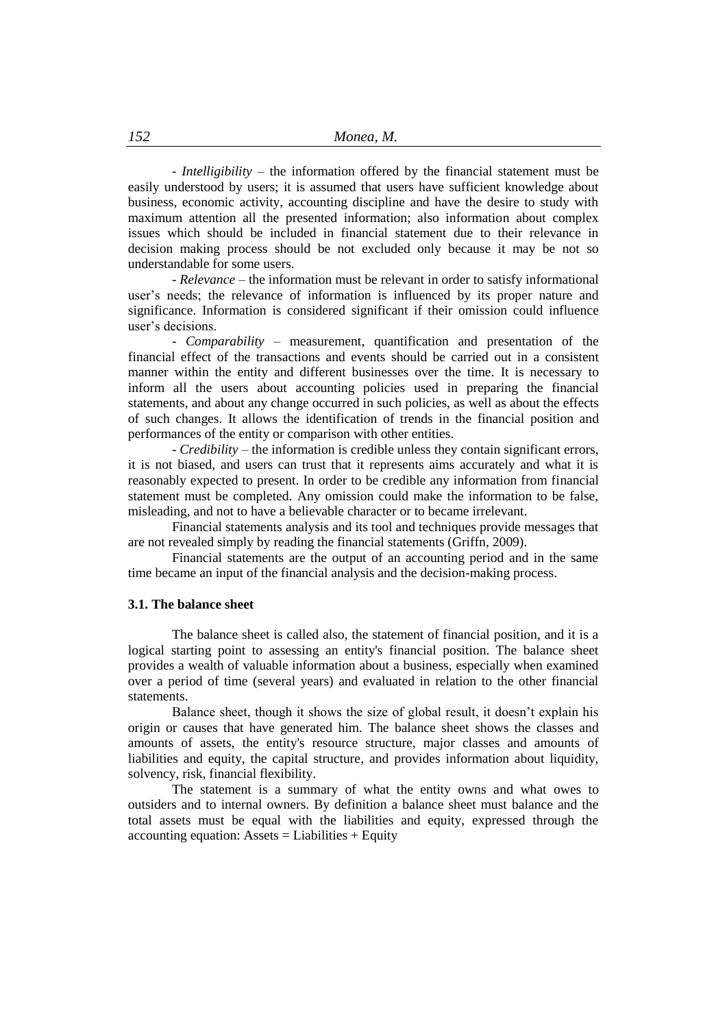- *Intelligibility* – the information offered by the financial statement must be easily understood by users; it is assumed that users have sufficient knowledge about business, economic activity, accounting discipline and have the desire to study with maximum attention all the presented information; also information about complex issues which should be included in financial statement due to their relevance in decision making process should be not excluded only because it may be not so understandable for some users.

- *Relevance* – the information must be relevant in order to satisfy informational user's needs; the relevance of information is influenced by its proper nature and significance. Information is considered significant if their omission could influence user's decisions.

- *Comparability* – measurement, quantification and presentation of the financial effect of the transactions and events should be carried out in a consistent manner within the entity and different businesses over the time. It is necessary to inform all the users about accounting policies used in preparing the financial statements, and about any change occurred in such policies, as well as about the effects of such changes. It allows the identification of trends in the financial position and performances of the entity or comparison with other entities.

- *Credibility* – the information is credible unless they contain significant errors, it is not biased, and users can trust that it represents aims accurately and what it is reasonably expected to present. In order to be credible any information from financial statement must be completed. Any omission could make the information to be false, misleading, and not to have a believable character or to became irrelevant.

Financial statements analysis and its tool and techniques provide messages that are not revealed simply by reading the financial statements (Griffn, 2009).

Financial statements are the output of an accounting period and in the same time became an input of the financial analysis and the decision-making process.

#### **3.1. The balance sheet**

The balance sheet is called also, the statement of financial position, and it is a logical starting point to assessing an entity's financial position. The balance sheet provides a wealth of valuable information about a business, especially when examined over a period of time (several years) and evaluated in relation to the other financial statements.

Balance sheet, though it shows the size of global result, it doesn't explain his origin or causes that have generated him. The balance sheet shows the classes and amounts of assets, the entity's resource structure, major classes and amounts of liabilities and equity, the capital structure, and provides information about liquidity, solvency, risk, financial flexibility.

The statement is a summary of what the entity owns and what owes to outsiders and to internal owners. By definition a balance sheet must balance and the total assets must be equal with the liabilities and equity, expressed through the accounting equation: Assets  $=$  Liabilities  $+$  Equity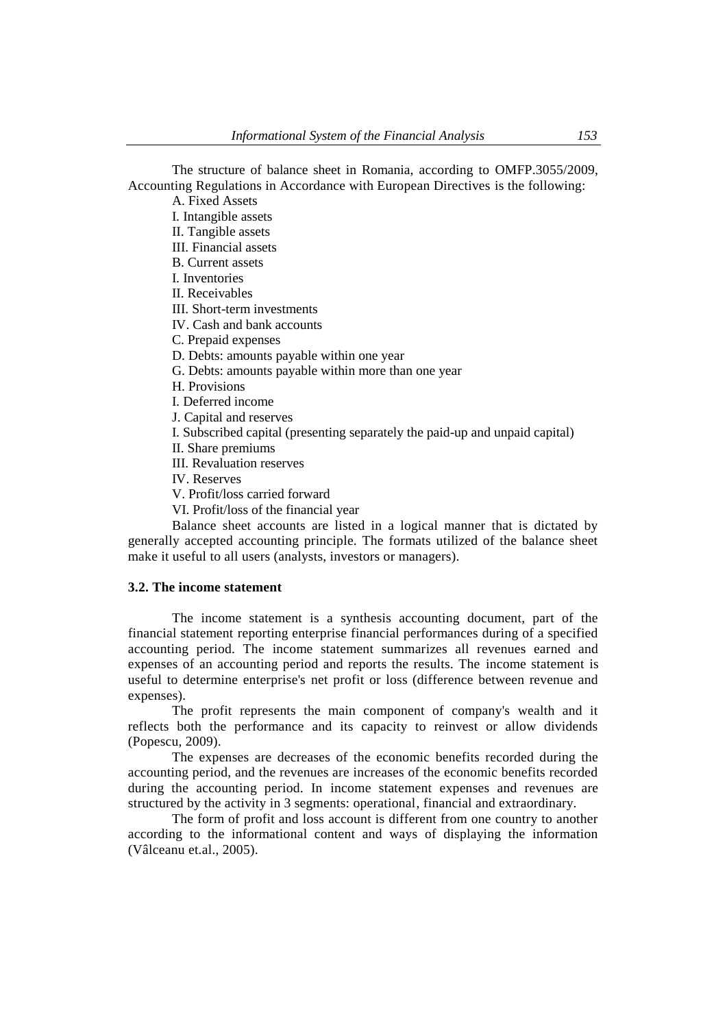The structure of balance sheet in Romania, according to OMFP.3055/2009, Accounting Regulations in Accordance with European Directives is the following:

A. Fixed Assets I. Intangible assets II. Tangible assets III. Financial assets B. Current assets I. Inventories II. Receivables III. Short-term investments IV. Cash and bank accounts C. Prepaid expenses D. Debts: amounts payable within one year G. Debts: amounts payable within more than one year H. Provisions I. Deferred income J. Capital and reserves I. Subscribed capital (presenting separately the paid-up and unpaid capital) II. Share premiums III. Revaluation reserves

IV. Reserves

V. Profit/loss carried forward

VI. Profit/loss of the financial year

Balance sheet accounts are listed in a logical manner that is dictated by generally accepted accounting principle. The formats utilized of the balance sheet make it useful to all users (analysts, investors or managers).

### **3.2. The income statement**

The income statement is a synthesis accounting document, part of the financial statement reporting enterprise financial performances during of a specified accounting period. The income statement summarizes all revenues earned and expenses of an accounting period and reports the results. The income statement is useful to determine enterprise's net profit or loss (difference between revenue and expenses).

The profit represents the main component of company's wealth and it reflects both the performance and its capacity to reinvest or allow dividends (Popescu, 2009).

The expenses are decreases of the economic benefits recorded during the accounting period, and the revenues are increases of the economic benefits recorded during the accounting period. In income statement expenses and revenues are structured by the activity in 3 segments: operational, financial and extraordinary.

The form of profit and loss account is different from one country to another according to the informational content and ways of displaying the information (Vâlceanu et.al., 2005).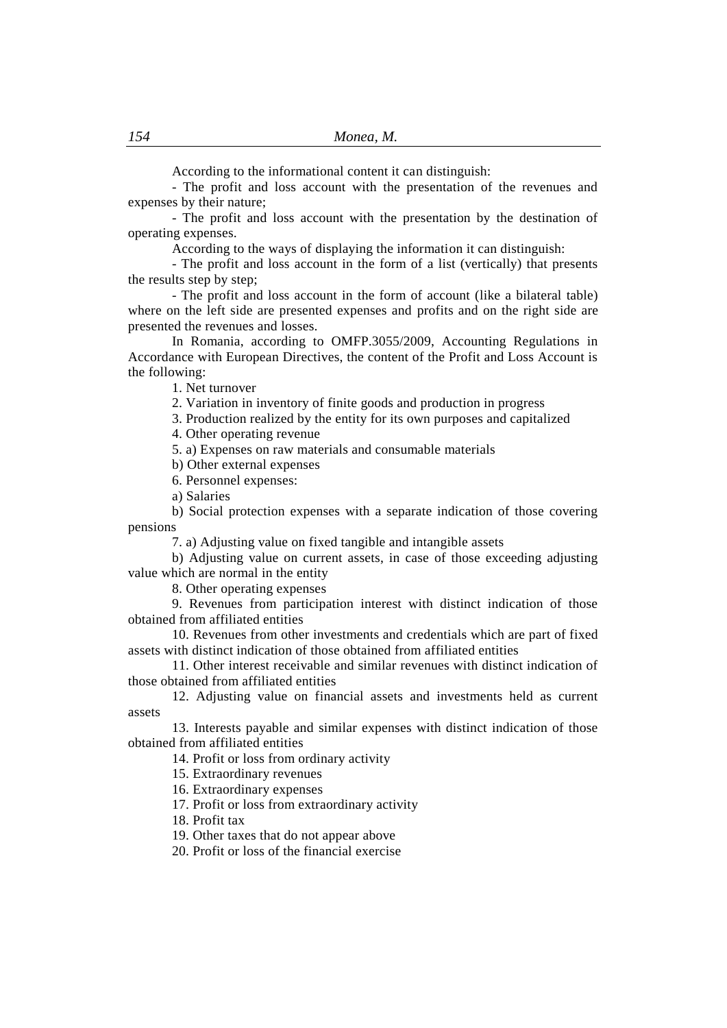According to the informational content it can distinguish:

- The profit and loss account with the presentation of the revenues and expenses by their nature;

- The profit and loss account with the presentation by the destination of operating expenses.

According to the ways of displaying the information it can distinguish:

- The profit and loss account in the form of a list (vertically) that presents the results step by step;

- The profit and loss account in the form of account (like a bilateral table) where on the left side are presented expenses and profits and on the right side are presented the revenues and losses.

In Romania, according to OMFP.3055/2009, Accounting Regulations in Accordance with European Directives, the content of the Profit and Loss Account is the following:

1. Net turnover

2. Variation in inventory of finite goods and production in progress

3. Production realized by the entity for its own purposes and capitalized

4. Other operating revenue

5. a) Expenses on raw materials and consumable materials

b) Other external expenses

6. Personnel expenses:

a) Salaries

b) Social protection expenses with a separate indication of those covering pensions

7. a) Adjusting value on fixed tangible and intangible assets

b) Adjusting value on current assets, in case of those exceeding adjusting value which are normal in the entity

8. Other operating expenses

9. Revenues from participation interest with distinct indication of those obtained from affiliated entities

10. Revenues from other investments and credentials which are part of fixed assets with distinct indication of those obtained from affiliated entities

11. Other interest receivable and similar revenues with distinct indication of those obtained from affiliated entities

12. Adjusting value on financial assets and investments held as current assets

13. Interests payable and similar expenses with distinct indication of those obtained from affiliated entities

14. Profit or loss from ordinary activity

15. Extraordinary revenues

16. Extraordinary expenses

17. Profit or loss from extraordinary activity

18. Profit tax

19. Other taxes that do not appear above

20. Profit or loss of the financial exercise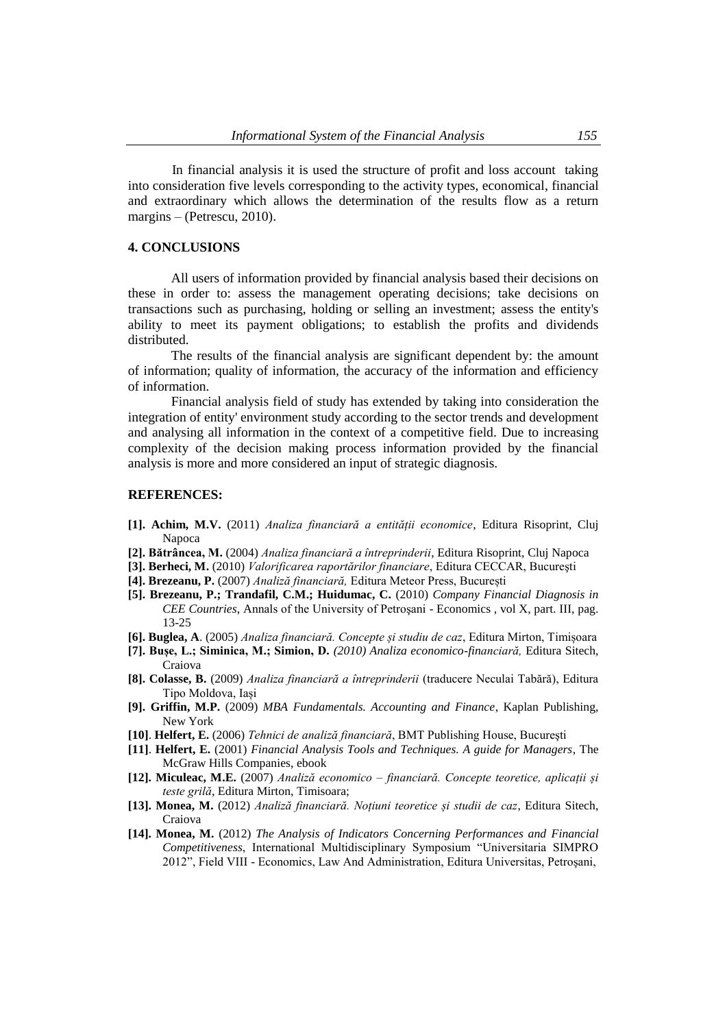In financial analysis it is used the structure of profit and loss account taking into consideration five levels corresponding to the activity types, economical, financial and extraordinary which allows the determination of the results flow as a return margins – (Petrescu, 2010).

#### **4. CONCLUSIONS**

All users of information provided by financial analysis based their decisions on these in order to: assess the management operating decisions; take decisions on transactions such as purchasing, holding or selling an investment; assess the entity's ability to meet its payment obligations; to establish the profits and dividends distributed.

The results of the financial analysis are significant dependent by: the amount of information; quality of information, the accuracy of the information and efficiency of information.

Financial analysis field of study has extended by taking into consideration the integration of entity' environment study according to the sector trends and development and analysing all information in the context of a competitive field. Due to increasing complexity of the decision making process information provided by the financial analysis is more and more considered an input of strategic diagnosis.

#### **REFERENCES:**

- **[1]. Achim, M.V.** (2011) *Analiza financiară a entității economice*, Editura Risoprint, Cluj Napoca
- **[2]. Bătrâncea, M.** (2004) *Analiza financiară a întreprinderii*, Editura Risoprint, Cluj Napoca
- **[3]. Berheci, M.** (2010) *Valorificarea raportărilor financiare*, Editura CECCAR, Bucureşti
- **[4]. Brezeanu, P.** (2007) *Analiză financiară,* Editura Meteor Press, București
- **[5]. Brezeanu, P.; Trandafil, C.M.; Huidumac, C.** (2010) *Company Financial Diagnosis in CEE Countries*, Annals of the University of Petroşani - Economics , vol X, part. III, pag. 13-25
- **[6]. Buglea, A**. (2005) *Analiza financiară. Concepte și studiu de caz*, Editura Mirton, Timișoara
- **[7]. Bușe, L.; Siminica, M.; Simion, D.** *(2010) Analiza economico-financiară,* Editura Sitech, Craiova
- **[8]. Colasse, B.** (2009) *Analiza financiară a întreprinderii* (traducere Neculai Tabără), Editura Tipo Moldova, Iași
- **[9]. Griffin, M.P.** (2009) *MBA Fundamentals. Accounting and Finance*, Kaplan Publishing, New York
- **[10]**. **Helfert, E.** (2006) *Tehnici de analiză financiară*, BMT Publishing House, Bucureşti
- **[11]**. **Helfert, E.** (2001) *Financial Analysis Tools and Techniques. A guide for Managers*, The McGraw Hills Companies, ebook
- **[12]. Miculeac, M.E.** (2007) *Analiză economico – financiară. Concepte teoretice, aplicații și teste grilă*, Editura Mirton, Timisoara;
- **[13]. Monea, M.** (2012) *Analiză financiară. Noțiuni teoretice și studii de caz*, Editura Sitech, Craiova
- **[14]. Monea, M.** (2012) *The Analysis of Indicators Concerning Performances and Financial Competitiveness*, International Multidisciplinary Symposium "Universitaria SIMPRO 2012", Field VIII - Economics, Law And Administration, Editura Universitas, Petroşani,